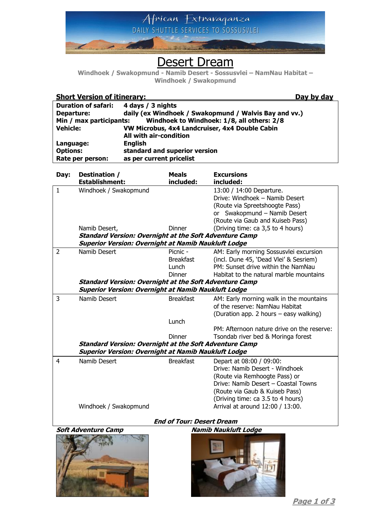

# Desert Dream

**Windhoek / Swakopmund - Namib Desert - Sossusvlei – NamNau Habitat – Windhoek / Swakopmund**

| <b>Short Version of itinerary:</b>                                         |                                                                                                                             |                                                           |                  | Day by day                                                 |
|----------------------------------------------------------------------------|-----------------------------------------------------------------------------------------------------------------------------|-----------------------------------------------------------|------------------|------------------------------------------------------------|
| <b>Duration of safari:</b>                                                 |                                                                                                                             | 4 days / 3 nights                                         |                  |                                                            |
| daily (ex Windhoek / Swakopmund / Walvis Bay and vv.)<br><b>Departure:</b> |                                                                                                                             |                                                           |                  |                                                            |
| Windhoek to Windhoek: 1/8, all others: 2/8<br>Min / max participants:      |                                                                                                                             |                                                           |                  |                                                            |
| <b>Vehicle:</b>                                                            |                                                                                                                             | VW Microbus, 4x4 Landcruiser, 4x4 Double Cabin            |                  |                                                            |
|                                                                            |                                                                                                                             | All with air-condition                                    |                  |                                                            |
| Language:                                                                  |                                                                                                                             | <b>English</b>                                            |                  |                                                            |
| <b>Options:</b><br>Rate per person:                                        |                                                                                                                             | standard and superior version<br>as per current pricelist |                  |                                                            |
|                                                                            |                                                                                                                             |                                                           |                  |                                                            |
| Day:                                                                       | Destination /                                                                                                               |                                                           | <b>Meals</b>     | <b>Excursions</b>                                          |
|                                                                            | <b>Establishment:</b>                                                                                                       |                                                           | included:        | included:                                                  |
| $\mathbf{1}$                                                               | Windhoek / Swakopmund                                                                                                       |                                                           |                  | 13:00 / 14:00 Departure.                                   |
|                                                                            |                                                                                                                             |                                                           |                  | Drive: Windhoek - Namib Desert                             |
|                                                                            |                                                                                                                             |                                                           |                  | (Route via Spreetshoogte Pass)                             |
|                                                                            |                                                                                                                             |                                                           |                  | or Swakopmund - Namib Desert                               |
|                                                                            |                                                                                                                             |                                                           |                  | (Route via Gaub and Kuiseb Pass)                           |
|                                                                            | Namib Desert,                                                                                                               |                                                           | <b>Dinner</b>    | (Driving time: ca 3,5 to 4 hours)                          |
|                                                                            | <b>Standard Version: Overnight at the Soft Adventure Camp</b>                                                               |                                                           |                  |                                                            |
| <b>Superior Version: Overnight at Namib Naukluft Lodge</b>                 |                                                                                                                             |                                                           |                  |                                                            |
| $\overline{2}$                                                             | Namib Desert                                                                                                                |                                                           | Picnic -         | AM: Early morning Sossusvlei excursion                     |
|                                                                            |                                                                                                                             |                                                           | <b>Breakfast</b> | (incl. Dune 45, 'Dead Vlei' & Sesriem)                     |
|                                                                            |                                                                                                                             |                                                           | Lunch            | PM: Sunset drive within the NamNau                         |
|                                                                            |                                                                                                                             |                                                           | <b>Dinner</b>    | Habitat to the natural marble mountains                    |
|                                                                            | <b>Standard Version: Overnight at the Soft Adventure Camp</b>                                                               |                                                           |                  |                                                            |
| <b>Superior Version: Overnight at Namib Naukluft Lodge</b>                 |                                                                                                                             |                                                           |                  |                                                            |
| 3                                                                          | Namib Desert                                                                                                                |                                                           | <b>Breakfast</b> | AM: Early morning walk in the mountains                    |
|                                                                            |                                                                                                                             |                                                           |                  | of the reserve: NamNau Habitat                             |
|                                                                            |                                                                                                                             |                                                           |                  | (Duration app. 2 hours – easy walking)                     |
|                                                                            |                                                                                                                             |                                                           | Lunch            |                                                            |
|                                                                            |                                                                                                                             |                                                           |                  | PM: Afternoon nature drive on the reserve:                 |
|                                                                            |                                                                                                                             |                                                           | <b>Dinner</b>    | Tsondab river bed & Moringa forest                         |
|                                                                            | <b>Standard Version: Overnight at the Soft Adventure Camp</b><br><b>Superior Version: Overnight at Namib Naukluft Lodge</b> |                                                           |                  |                                                            |
|                                                                            | Namib Desert                                                                                                                |                                                           | <b>Breakfast</b> |                                                            |
| 4                                                                          |                                                                                                                             |                                                           |                  | Depart at 08:00 / 09:00:<br>Drive: Namib Desert - Windhoek |
|                                                                            |                                                                                                                             |                                                           |                  | (Route via Remhoogte Pass) or                              |
|                                                                            |                                                                                                                             |                                                           |                  | Drive: Namib Desert - Coastal Towns                        |
|                                                                            |                                                                                                                             |                                                           |                  | (Route via Gaub & Kuiseb Pass)                             |
|                                                                            |                                                                                                                             |                                                           |                  | (Driving time: ca 3.5 to 4 hours)                          |
|                                                                            | Windhoek / Swakopmund                                                                                                       |                                                           |                  | Arrival at around 12:00 / 13:00.                           |
|                                                                            |                                                                                                                             |                                                           |                  |                                                            |
| <b>End of Tour: Desert Dream</b>                                           |                                                                                                                             |                                                           |                  |                                                            |

### **Soft Adventure Camp Namib Naukluft Lodge**





**Page 1 of 3**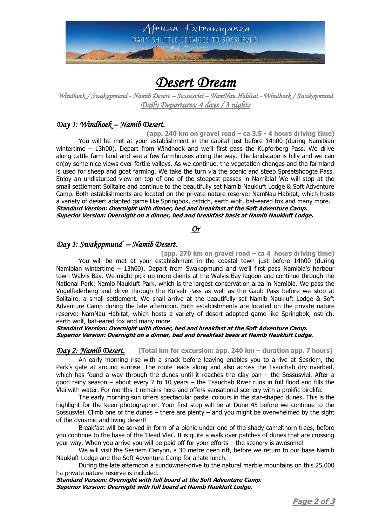

## *Desert Dream*

*Windhoek / Swakopmund - Namib Desert – Sossusvlei – NamNau Habitat - Windhoek / Swakopmund Daily Departures: 4 days / 3 nights* 

#### *Day 1: Windhoek – Namib Desert.*

**(app. 240 km on gravel road – ca 3.5 - 4 hours driving time)** You will be met at your establishment in the capital just before 14h00 (during Namibian wintertime – 13h00). Depart from Windhoek and we'll first pass the Kupferberg Pass. We drive along cattle farm land and see a few farmhouses along the way. The landscape is hilly and we can enjoy some nice views over fertile valleys. As we continue, the vegetation changes and the farmland is used for sheep and goat farming. We take the turn via the scenic and steep Spreetshoogte Pass. Enjoy an undisturbed view on top of one of the steepest passes in Namibia! We will stop at the small settlement Solitaire and continue to the beautifully set Namib Naukluft Lodge & Soft Adventure Camp. Both establishments are located on the private nature reserve: NamNau Habitat, which hosts a variety of desert adapted game like Springbok, ostrich, earth wolf, bat-eared fox and many more. **Standard Version: Overnight with dinner, bed and breakfast at the Soft Adventure Camp. Superior Version: Overnight on a dinner, bed and breakfast basis at Namib Naukluft Lodge.**

*Or* 

## *Day 1: Swakopmund – Namib Desert.*

**(app. 270 km on gravel road – ca 4 hours driving time)** You will be met at your establishment in the coastal town just before 14h00 (during Namibian wintertime – 13h00). Depart from Swakopmund and we'll first pass Namibia's harbour town Walvis Bay. We might pick-up more clients at the Walvis Bay lagoon and continue through the National Park: Namib Naukluft Park, which is the largest conservation area in Namibia. We pass the Vogelfederberg and drive through the Kuiseb Pass as well as the Gaub Pass before we stop at Solitaire, a small settlement. We shall arrive at the beautifully set Namib Naukluft Lodge & Soft Adventure Camp during the late afternoon. Both establishments are located on the private nature reserve: NamNau Habitat, which hosts a variety of desert adapted game like Springbok, ostrich, earth wolf, bat-eared fox and many more.

#### **Standard Version: Overnight with dinner, bed and breakfast at the Soft Adventure Camp. Superior Version: Overnight on a dinner, bed and breakfast basis at Namib Naukluft Lodge.**

*Day 2: Namib Desert.* **(Total km for excursion: app. 240 km – duration app. 7 hours)**

An early morning rise with a snack before leaving enables you to arrive at Sesriem, the Park's gate at around sunrise. The route leads along and also across the Tsauchab dry riverbed, which has found a way through the dunes until it reaches the clay pan – the Sossusvlei. After a good rainy season – about every 7 to 10 years – the Tsauchab River runs in full flood and fills the Vlei with water. For months it remains here and offers sensational scenery with a prolific birdlife.

The early morning sun offers spectacular pastel colours in the star-shaped dunes. This is the highlight for the keen photographer. Your first stop will be at Dune 45 before we continue to the Sossusvlei. Climb one of the dunes – there are plenty – and you might be overwhelmed by the sight of the dynamic and living desert!

Breakfast will be served in form of a picnic under one of the shady camelthorn trees, before you continue to the base of the 'Dead Vlei'. It is quite a walk over patches of dunes that are crossing your way. When you arrive you will be paid off for your efforts – the scenery is awesome!

We will visit the Sesriem Canyon, a 30 metre deep rift, before we return to our base Namib Naukluft Lodge and the Soft Adventure Camp for a late lunch.

During the late afternoon a sundowner-drive to the natural marble mountains on this 25,000 ha private nature reserve is included.

**Standard Version: Overnight with full board at the Soft Adventure Camp. Superior Version: Overnight with full board at Namib Naukluft Lodge.**